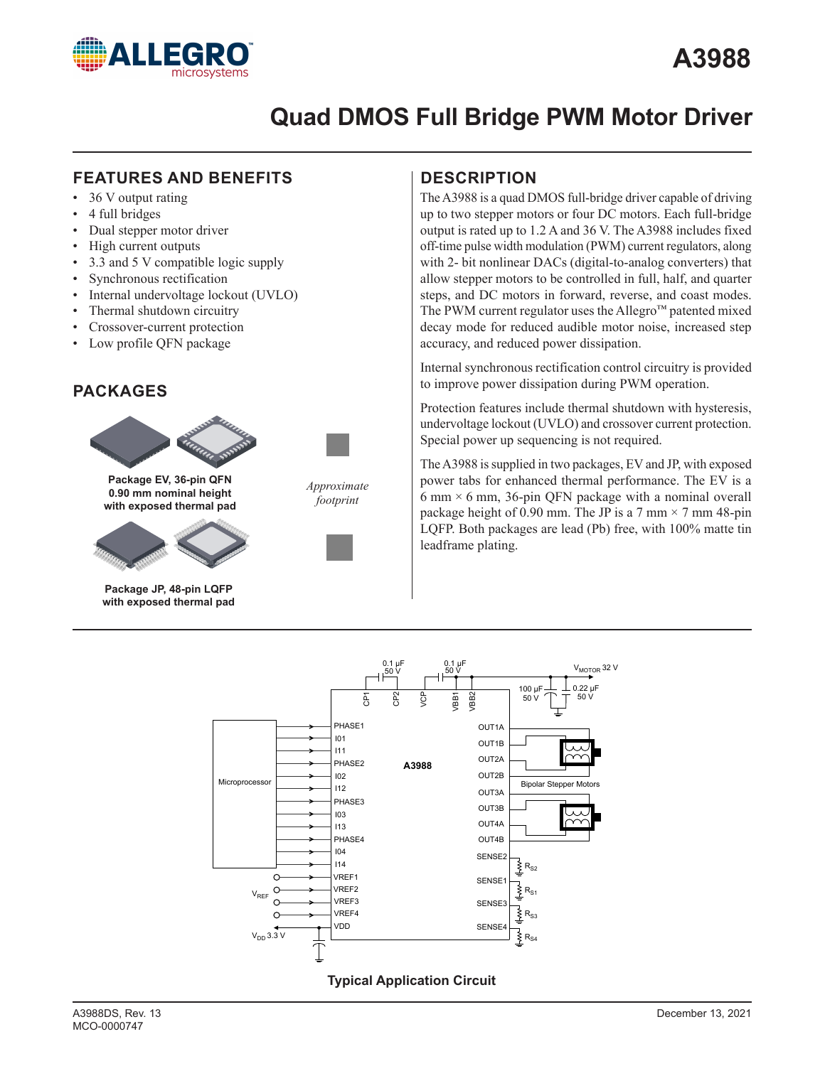

#### **FEATURES AND BENEFITS DESCRIPTION**

- 36 V output rating
- 4 full bridges
- Dual stepper motor driver
- High current outputs
- 3.3 and 5 V compatible logic supply
- Synchronous rectification
- Internal undervoltage lockout (UVLO)
- Thermal shutdown circuitry
- Crossover-current protection
- Low profile QFN package

## **PACKAGES**



**Package EV, 36-pin QFN 0.90 mm nominal height with exposed thermal pad** 



**Package JP, 48-pin LQFP with exposed thermal pad** 



*Approximate footprint*



The A3988 is a quad DMOS full-bridge driver capable of driving up to two stepper motors or four DC motors. Each full-bridge output is rated up to 1.2 A and 36 V. The A3988 includes fixed off-time pulse width modulation (PWM) current regulators, along with 2- bit nonlinear DACs (digital-to-analog converters) that allow stepper motors to be controlled in full, half, and quarter steps, and DC motors in forward, reverse, and coast modes. The PWM current regulator uses the Allegro™ patented mixed decay mode for reduced audible motor noise, increased step accuracy, and reduced power dissipation.

Internal synchronous rectification control circuitry is provided to improve power dissipation during PWM operation.

Protection features include thermal shutdown with hysteresis, undervoltage lockout (UVLO) and crossover current protection. Special power up sequencing is not required.

The A3988 is supplied in two packages, EV and JP, with exposed power tabs for enhanced thermal performance. The EV is a  $6 \text{ mm} \times 6 \text{ mm}$ , 36-pin QFN package with a nominal overall package height of 0.90 mm. The JP is a 7 mm  $\times$  7 mm 48-pin LQFP. Both packages are lead (Pb) free, with 100% matte tin leadframe plating.

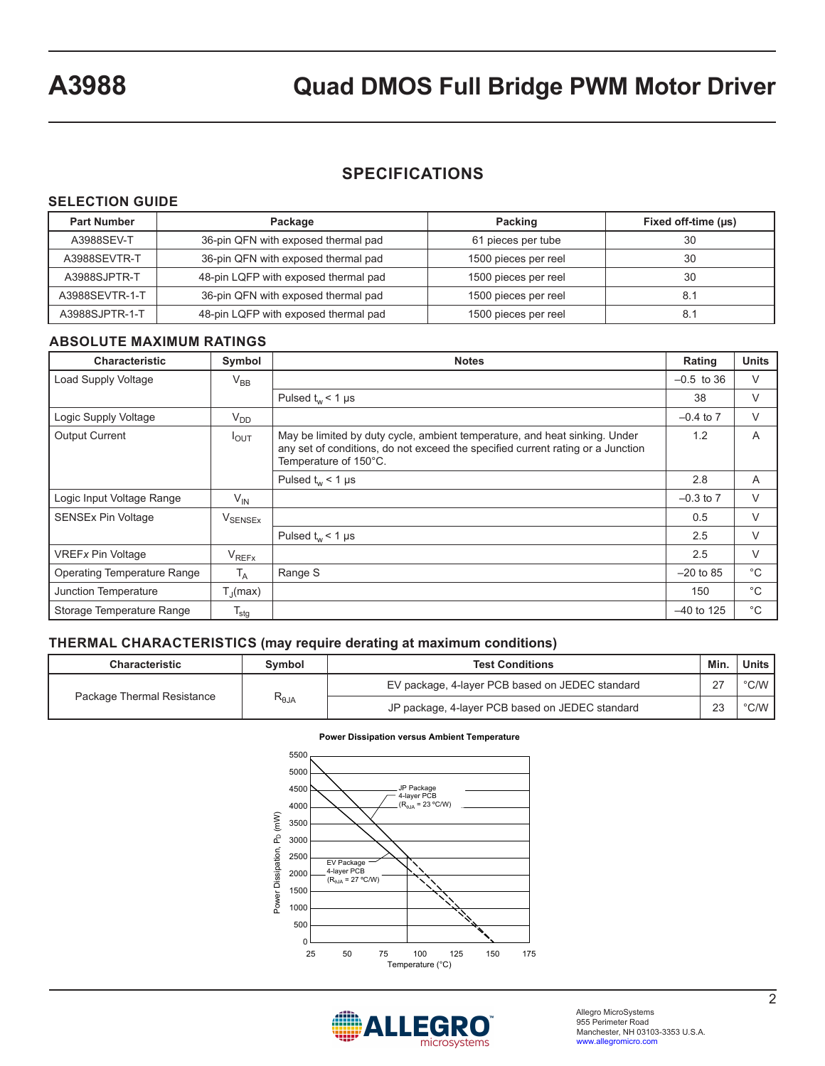#### **SPECIFICATIONS**

#### **SELECTION GUIDE**

| <b>Part Number</b> | Package                              | Packing              | Fixed off-time (us) |
|--------------------|--------------------------------------|----------------------|---------------------|
| A3988SEV-T         | 36-pin QFN with exposed thermal pad  | 61 pieces per tube   | 30                  |
| A3988SEVTR-T       | 36-pin QFN with exposed thermal pad  | 1500 pieces per reel | 30                  |
| A3988SJPTR-T       | 48-pin LQFP with exposed thermal pad | 1500 pieces per reel | 30                  |
| A3988SEVTR-1-T     | 36-pin QFN with exposed thermal pad  | 1500 pieces per reel | 8.1                 |
| A3988SJPTR-1-T     | 48-pin LQFP with exposed thermal pad | 1500 pieces per reel | 8.1                 |

#### **ABSOLUTE MAXIMUM RATINGS**

| <b>Characteristic</b>              | Symbol                         | <b>Notes</b>                                                                                                                                                                           | Rating        | <b>Units</b> |
|------------------------------------|--------------------------------|----------------------------------------------------------------------------------------------------------------------------------------------------------------------------------------|---------------|--------------|
| Load Supply Voltage                | $V_{BB}$                       |                                                                                                                                                                                        | $-0.5$ to 36  | V            |
|                                    |                                | Pulsed $t_w$ < 1 µs                                                                                                                                                                    | 38            | V            |
| Logic Supply Voltage               | $V_{DD}$                       |                                                                                                                                                                                        | $-0.4$ to $7$ | V            |
| <b>Output Current</b>              | $I_{\text{OUT}}$               | May be limited by duty cycle, ambient temperature, and heat sinking. Under<br>any set of conditions, do not exceed the specified current rating or a Junction<br>Temperature of 150°C. | 1.2           | A            |
|                                    |                                | Pulsed $t_w$ < 1 µs                                                                                                                                                                    | 2.8           | A            |
| Logic Input Voltage Range          | $V_{IN}$                       |                                                                                                                                                                                        | $-0.3$ to $7$ | $\vee$       |
| <b>SENSEx Pin Voltage</b>          | $\mathsf{V}_{\mathsf{SENSEx}}$ |                                                                                                                                                                                        | 0.5           | V            |
|                                    |                                | Pulsed $t_w$ < 1 µs                                                                                                                                                                    | 2.5           | V            |
| <b>VREFx Pin Voltage</b>           | $V_{REFX}$                     |                                                                                                                                                                                        | 2.5           | $\vee$       |
| <b>Operating Temperature Range</b> | $T_A$                          | Range S                                                                                                                                                                                | $-20$ to 85   | °C           |
| Junction Temperature               | $T_{\parallel}$ (max)          |                                                                                                                                                                                        | 150           | $^{\circ}C$  |
| Storage Temperature Range          | $\mathsf{T}_{\text{stg}}$      |                                                                                                                                                                                        | $-40$ to 125  | °C           |

#### **THERMAL CHARACTERISTICS (may require derating at maximum conditions)**

| <b>Characteristic</b><br>Svmbol |                | <b>Test Conditions</b>                          | Min.   | Units         |
|---------------------------------|----------------|-------------------------------------------------|--------|---------------|
|                                 |                | EV package, 4-layer PCB based on JEDEC standard |        | $\degree$ C/W |
| Package Thermal Resistance      | $R_{\theta$ JA | JP package, 4-layer PCB based on JEDEC standard | $\cap$ | $\degree$ C/W |



#### **Power Dissipation versus Ambient Temperature**

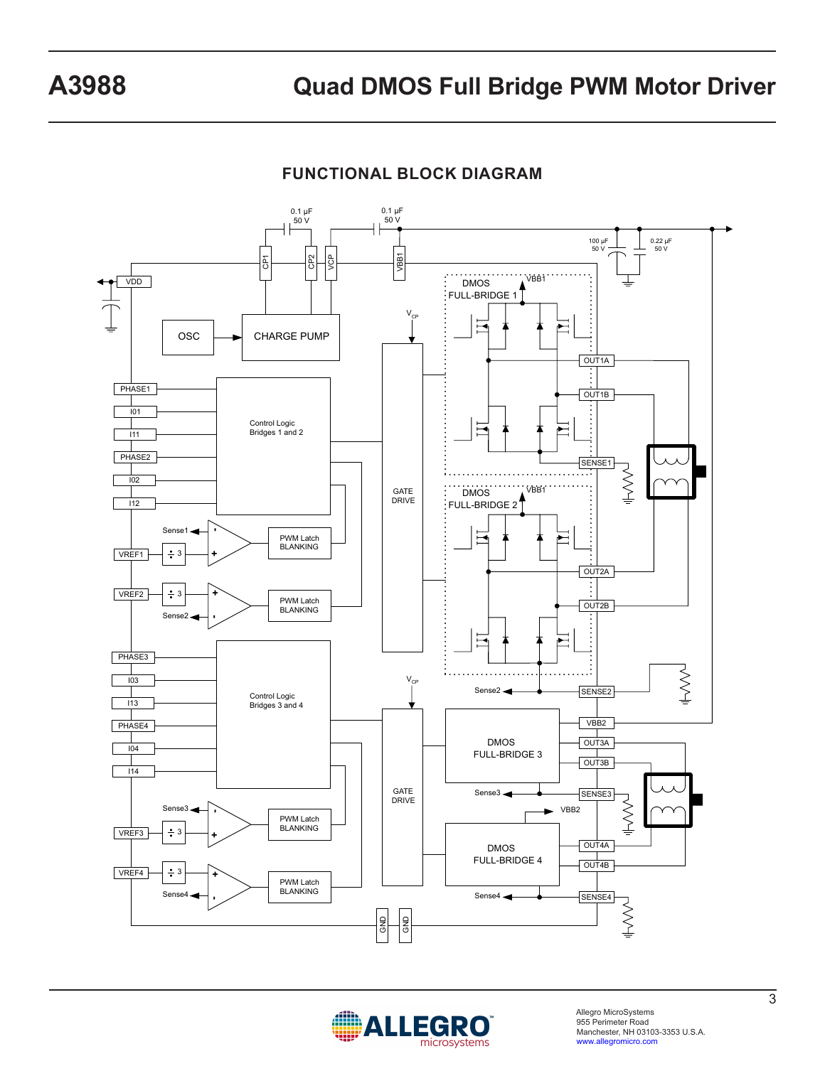**FUNCTIONAL BLOCK DIAGRAM**





Allegro MicroSystems 955 Perimeter Road Manchester, NH 03103-3353 U.S.A. www.allegromicro.com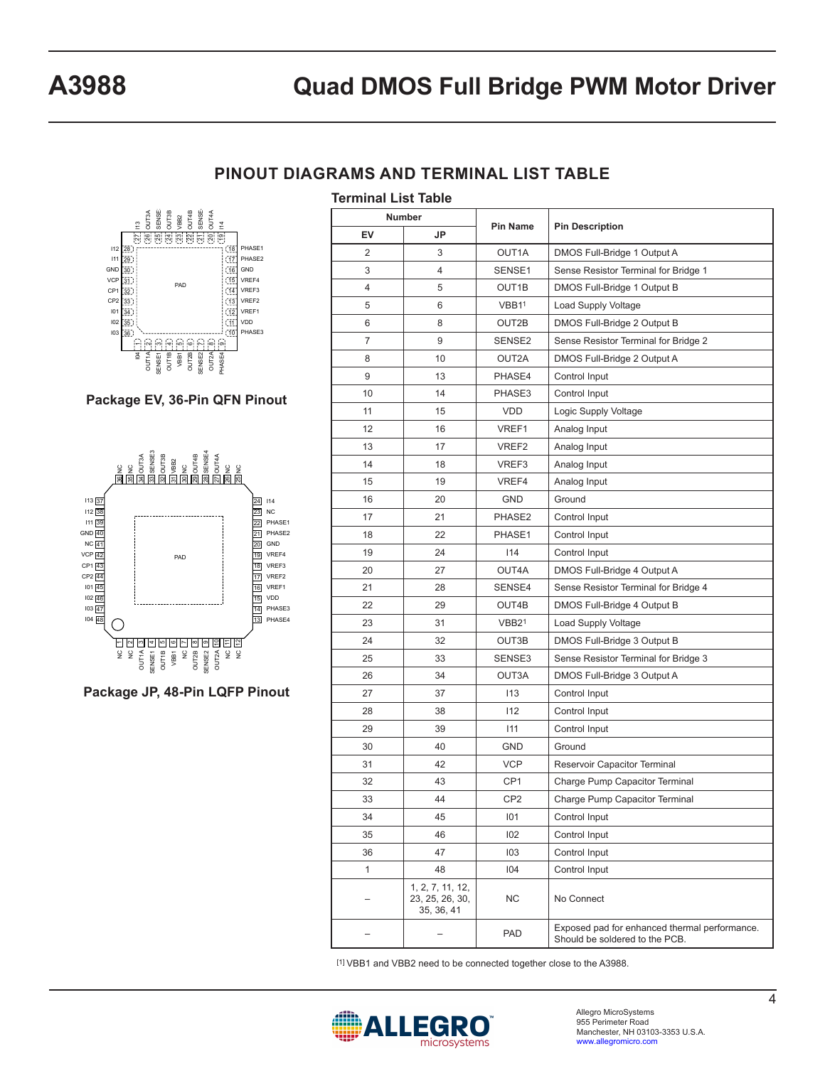#### **PINOUT DIAGRAMS AND TERMINAL LIST TABLE**

#### **Terminal List Table**



#### **Package EV, 36-Pin QFN Pinout**



**Package JP, 48-Pin LQFP Pinout**

| <b>Number</b>  |                                                   | <b>Pin Name</b>                                                                        |                                      |  |  |
|----------------|---------------------------------------------------|----------------------------------------------------------------------------------------|--------------------------------------|--|--|
| EV             | <b>JP</b>                                         |                                                                                        | <b>Pin Description</b>               |  |  |
| $\overline{2}$ | 3                                                 | OUT1A                                                                                  | DMOS Full-Bridge 1 Output A          |  |  |
| 3              | 4                                                 | SENSE1                                                                                 | Sense Resistor Terminal for Bridge 1 |  |  |
| 4              | 5                                                 | OUT1B                                                                                  | DMOS Full-Bridge 1 Output B          |  |  |
| 5              | 6                                                 | VBB11                                                                                  | Load Supply Voltage                  |  |  |
| 6              | 8                                                 | OUT2B                                                                                  | DMOS Full-Bridge 2 Output B          |  |  |
| 7              | 9                                                 | SENSE2                                                                                 | Sense Resistor Terminal for Bridge 2 |  |  |
| 8              | 10                                                | OUT2A                                                                                  | DMOS Full-Bridge 2 Output A          |  |  |
| 9              | 13                                                | PHASE4                                                                                 | Control Input                        |  |  |
| 10             | 14                                                | PHASE3                                                                                 | Control Input                        |  |  |
| 11             | 15                                                | <b>VDD</b>                                                                             | Logic Supply Voltage                 |  |  |
| 12             | 16                                                | VREF1                                                                                  | Analog Input                         |  |  |
| 13             | 17                                                | VREF2                                                                                  | Analog Input                         |  |  |
| 14             | 18                                                | VREF3                                                                                  | Analog Input                         |  |  |
| 15             | 19                                                | VREF4                                                                                  | Analog Input                         |  |  |
| 16             | 20                                                | <b>GND</b>                                                                             | Ground                               |  |  |
| 17             | 21                                                | PHASE2                                                                                 | Control Input                        |  |  |
| 18             | 22                                                | PHASE1                                                                                 | Control Input                        |  |  |
| 19             | 24                                                | 114                                                                                    | Control Input                        |  |  |
| 20             | 27                                                | OUT4A                                                                                  | DMOS Full-Bridge 4 Output A          |  |  |
| 21             | 28                                                | SENSE4                                                                                 | Sense Resistor Terminal for Bridge 4 |  |  |
| 22             | 29                                                | OUT4B                                                                                  | DMOS Full-Bridge 4 Output B          |  |  |
| 23             | 31                                                | VBB <sub>21</sub>                                                                      | Load Supply Voltage                  |  |  |
| 24             | 32                                                | OUT3B                                                                                  | DMOS Full-Bridge 3 Output B          |  |  |
| 25             | 33                                                | SENSE3                                                                                 | Sense Resistor Terminal for Bridge 3 |  |  |
| 26             | 34                                                | OUT3A                                                                                  | DMOS Full-Bridge 3 Output A          |  |  |
| 27             | 37                                                | 113                                                                                    | Control Input                        |  |  |
| 28             | 38                                                | 112                                                                                    | Control Input                        |  |  |
| 29             | 39                                                | 111                                                                                    | Control Input                        |  |  |
| 30             | 40                                                | <b>GND</b>                                                                             | Ground                               |  |  |
| 31             | 42                                                | <b>VCP</b>                                                                             | Reservoir Capacitor Terminal         |  |  |
| 32             | 43                                                | CP <sub>1</sub>                                                                        | Charge Pump Capacitor Terminal       |  |  |
| 33             | 44                                                | CP <sub>2</sub>                                                                        | Charge Pump Capacitor Terminal       |  |  |
| 34             | 45                                                | 101                                                                                    | Control Input                        |  |  |
| 35             | 46                                                | 102                                                                                    | Control Input                        |  |  |
| 36             | 47                                                | 103                                                                                    | Control Input                        |  |  |
| $\mathbf{1}$   | 48                                                | 104                                                                                    | Control Input                        |  |  |
|                | 1, 2, 7, 11, 12,<br>23, 25, 26, 30,<br>35, 36, 41 | NC                                                                                     | No Connect                           |  |  |
|                |                                                   | Exposed pad for enhanced thermal performance.<br>PAD<br>Should be soldered to the PCB. |                                      |  |  |

[1] VBB1 and VBB2 need to be connected together close to the A3988.

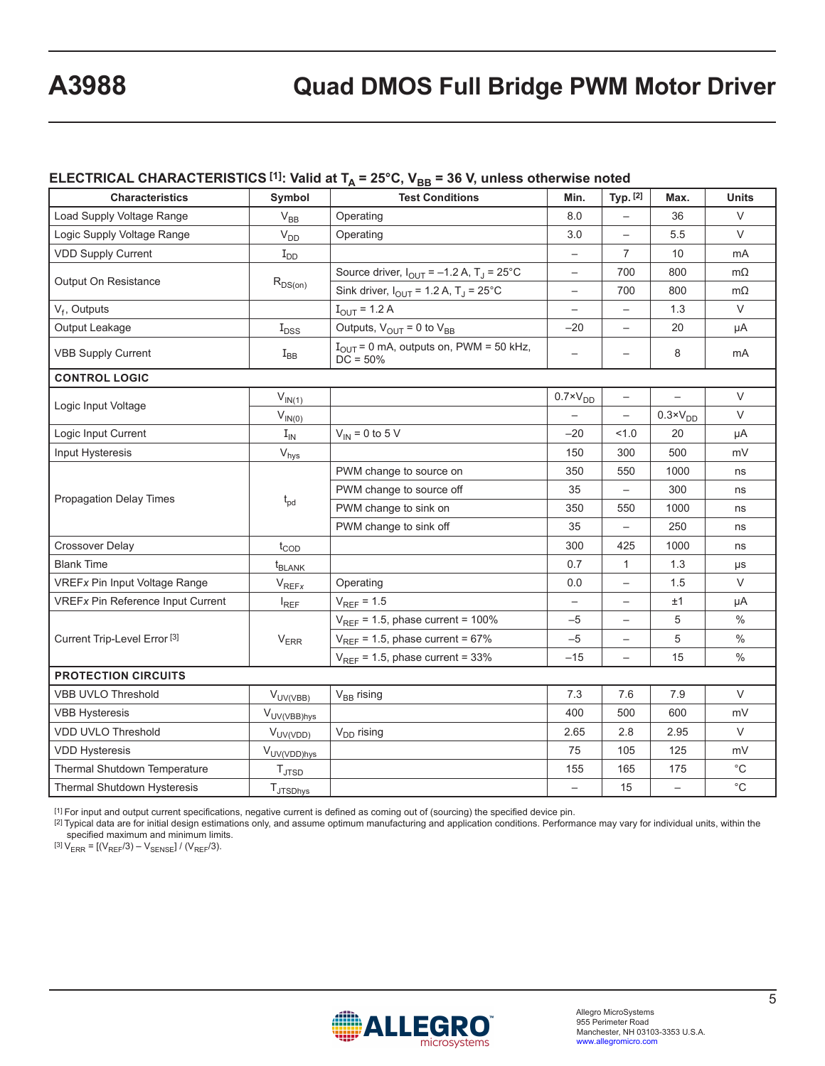#### **ELECTRICAL CHARACTERISTICS [1]: Valid at T<sub>A</sub> = 25°C, V<sub>BB</sub> = 36 V, unless otherwise noted**

| <b>Characteristics</b>                   | Symbol                       | <b>Test Conditions</b>                                           | Min.                     | Typ. [2]                 | Max.                     | <b>Units</b> |
|------------------------------------------|------------------------------|------------------------------------------------------------------|--------------------------|--------------------------|--------------------------|--------------|
| Load Supply Voltage Range                | $V_{BB}$                     | Operating                                                        | 8.0                      | $\overline{\phantom{0}}$ | 36                       | V            |
| Logic Supply Voltage Range               | V <sub>DD</sub>              | Operating                                                        | 3.0                      | $\overline{\phantom{0}}$ | 5.5                      | $\vee$       |
| <b>VDD Supply Current</b>                | $I_{DD}$                     |                                                                  |                          | $\overline{7}$           | 10                       | mA           |
| Output On Resistance                     |                              | Source driver, $I_{\text{OUT}} = -1.2$ A, $T_J = 25^{\circ}$ C   | $\qquad \qquad -$        | 700                      | 800                      | $m\Omega$    |
|                                          | $R_{DS(on)}$                 | Sink driver, $I_{OUT} = 1.2 A$ , $T_J = 25^{\circ}C$             | $\overline{\phantom{0}}$ | 700                      | 800                      | $m\Omega$    |
| $V_f$ , Outputs                          |                              | $I_{\text{OUT}} = 1.2 \text{ A}$                                 | $\overline{\phantom{0}}$ | $\overline{\phantom{0}}$ | 1.3                      | $\lor$       |
| Output Leakage                           | $I_{DSS}$                    | Outputs, $V_{OUT} = 0$ to $V_{BB}$                               | $-20$                    | $\overline{\phantom{0}}$ | 20                       | μA           |
| <b>VBB Supply Current</b>                | $I_{BB}$                     | $I_{\text{OUT}}$ = 0 mA, outputs on, PWM = 50 kHz,<br>$DC = 50%$ | $\overline{\phantom{0}}$ |                          | 8                        | mA           |
| <b>CONTROL LOGIC</b>                     |                              |                                                                  |                          |                          |                          |              |
| Logic Input Voltage                      | $V_{IN(1)}$                  |                                                                  | $0.7 \times V_{DD}$      | $\qquad \qquad -$        | $\overline{\phantom{0}}$ | V            |
|                                          | $V_{IN(0)}$                  |                                                                  |                          | $\overline{\phantom{0}}$ | $0.3 \times V_{DD}$      | $\vee$       |
| Logic Input Current                      | $\mathbf{I}_{\mathsf{IN}}$   | $V_{IN}$ = 0 to 5 V                                              | $-20$                    | 1.0                      | 20                       | μA           |
| Input Hysteresis                         | $V_{\text{hys}}$             |                                                                  | 150                      | 300                      | 500                      | mV           |
|                                          |                              | PWM change to source on                                          | 350                      | 550                      | 1000                     | ns           |
| Propagation Delay Times                  |                              | PWM change to source off                                         | 35                       | $\equiv$                 | 300                      | ns           |
|                                          | $t_{pd}$                     | PWM change to sink on                                            | 350                      | 550                      | 1000                     | ns           |
|                                          |                              | PWM change to sink off                                           | 35                       | $\qquad \qquad -$        | 250                      | ns           |
| <b>Crossover Delay</b>                   | $t_{\text{COD}}$             |                                                                  | 300                      | 425                      | 1000                     | ns           |
| <b>Blank Time</b>                        | $t_{\text{BLANK}}$           |                                                                  | 0.7                      | $\mathbf{1}$             | 1.3                      | μs           |
| VREFx Pin Input Voltage Range            | $V_{RE\underline{F}x}$       | Operating                                                        | 0.0                      | $\overline{\phantom{0}}$ | 1.5                      | $\vee$       |
| <b>VREFx Pin Reference Input Current</b> | $I_{REF}$                    | $V_{REF} = 1.5$                                                  | $\overline{\phantom{0}}$ | $\qquad \qquad -$        | ±1                       | μA           |
|                                          |                              | $V_{REF}$ = 1.5, phase current = 100%                            | $-5$                     | $\overline{\phantom{0}}$ | 5                        | $\%$         |
| Current Trip-Level Error <sup>[3]</sup>  | $V_{ERR}$                    | $V_{REF}$ = 1.5, phase current = 67%                             | $-5$                     | $\qquad \qquad -$        | 5                        | $\%$         |
|                                          |                              | $V_{REF}$ = 1.5, phase current = 33%                             | $-15$                    | $\overline{\phantom{0}}$ | 15                       | $\%$         |
| <b>PROTECTION CIRCUITS</b>               |                              |                                                                  |                          |                          |                          |              |
| <b>VBB UVLO Threshold</b>                | $V_{UV(VBB)}$                | $V_{BB}$ rising                                                  | 7.3                      | 7.6                      | 7.9                      | $\vee$       |
| <b>VBB Hysteresis</b>                    | V <sub>UV(VBB)hys</sub>      |                                                                  | 400                      | 500                      | 600                      | mV           |
| <b>VDD UVLO Threshold</b>                | $V_{UV(VDD)}$                | V <sub>DD</sub> rising                                           | 2.65                     | 2.8                      | 2.95                     | V            |
| <b>VDD Hysteresis</b>                    | V <sub>UV(VDD)hys</sub>      |                                                                  | 75                       | 105                      | 125                      | mV           |
| Thermal Shutdown Temperature             | $\mathsf{T}_{\mathsf{JTSD}}$ |                                                                  | 155                      | 165                      | 175                      | $^{\circ}C$  |
| <b>Thermal Shutdown Hysteresis</b>       | <b>T</b> JTSDhys             |                                                                  |                          | 15                       | $\overline{\phantom{0}}$ | $^{\circ}$ C |

[1] For input and output current specifications, negative current is defined as coming out of (sourcing) the specified device pin.

[2] Typical data are for initial design estimations only, and assume optimum manufacturing and application conditions. Performance may vary for individual units, within the

specified maximum and minimum limits.<br><sup>[3] V</sup>ERR = [(V<sub>REF</sub>/3) – V<sub>SENSE</sub>] / (V<sub>REF</sub>/3).

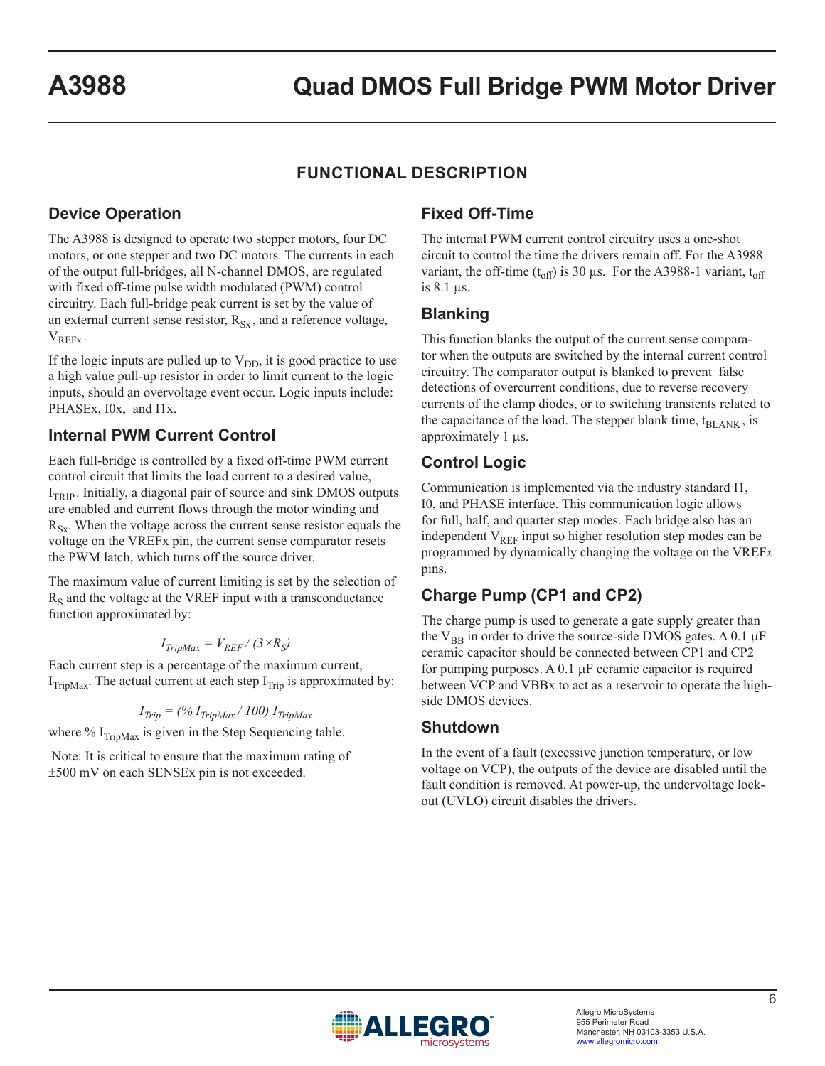## **FUNCTIONAL DESCRIPTION**

## **Device Operation**

The A3988 is designed to operate two stepper motors, four DC motors, or one stepper and two DC motors. The currents in each of the output full-bridges, all N-channel DMOS, are regulated with fixed off-time pulse width modulated (PWM) control circuitry. Each full-bridge peak current is set by the value of an external current sense resistor,  $R_{S_x}$ , and a reference voltage,  $V_{REFx}$ .

If the logic inputs are pulled up to  $V_{DD}$ , it is good practice to use a high value pull-up resistor in order to limit current to the logic inputs, should an overvoltage event occur. Logic inputs include: PHASEx, I0x, and I1x.

## **Internal PWM Current Control**

Each full-bridge is controlled by a fixed off-time PWM current control circuit that limits the load current to a desired value,  $I_{TRIP}$ . Initially, a diagonal pair of source and sink DMOS outputs are enabled and current flows through the motor winding and  $R_{S_x}$ . When the voltage across the current sense resistor equals the voltage on the VREFx pin, the current sense comparator resets the PWM latch, which turns off the source driver.

The maximum value of current limiting is set by the selection of  $R<sub>S</sub>$  and the voltage at the VREF input with a transconductance function approximated by:

$$
I_{TripMax} = V_{REF}/(3 \times R_S)
$$

Each current step is a percentage of the maximum current,  $I_{TripMax}$ . The actual current at each step  $I_{Trip}$  is approximated by:

$$
I_{Trip} = (%I_{TripMax} / 100) I_{TripMax}
$$

where  $% I_{TribMax}$  is given in the Step Sequencing table.

 Note: It is critical to ensure that the maximum rating of ±500 mV on each SENSEx pin is not exceeded.

## **Fixed Off-Time**

The internal PWM current control circuitry uses a one-shot circuit to control the time the drivers remain off. For the A3988 variant, the off-time  $(t_{off})$  is 30 µs. For the A3988-1 variant,  $t_{off}$ is 8.1 µs.

#### **Blanking**

This function blanks the output of the current sense comparator when the outputs are switched by the internal current control circuitry. The comparator output is blanked to prevent false detections of overcurrent conditions, due to reverse recovery currents of the clamp diodes, or to switching transients related to the capacitance of the load. The stepper blank time,  $t_{BLANK}$ , is approximately 1 μs.

## **Control Logic**

Communication is implemented via the industry standard I1, I0, and PHASE interface. This communication logic allows for full, half, and quarter step modes. Each bridge also has an independent  $V_{REF}$  input so higher resolution step modes can be programmed by dynamically changing the voltage on the VREF*x* pins.

## **Charge Pump (CP1 and CP2)**

The charge pump is used to generate a gate supply greater than the  $V_{BB}$  in order to drive the source-side DMOS gates. A 0.1  $\mu$ F ceramic capacitor should be connected between CP1 and CP2 for pumping purposes. A 0.1 μF ceramic capacitor is required between VCP and VBBx to act as a reservoir to operate the highside DMOS devices.

#### **Shutdown**

In the event of a fault (excessive junction temperature, or low voltage on VCP), the outputs of the device are disabled until the fault condition is removed. At power-up, the undervoltage lockout (UVLO) circuit disables the drivers.

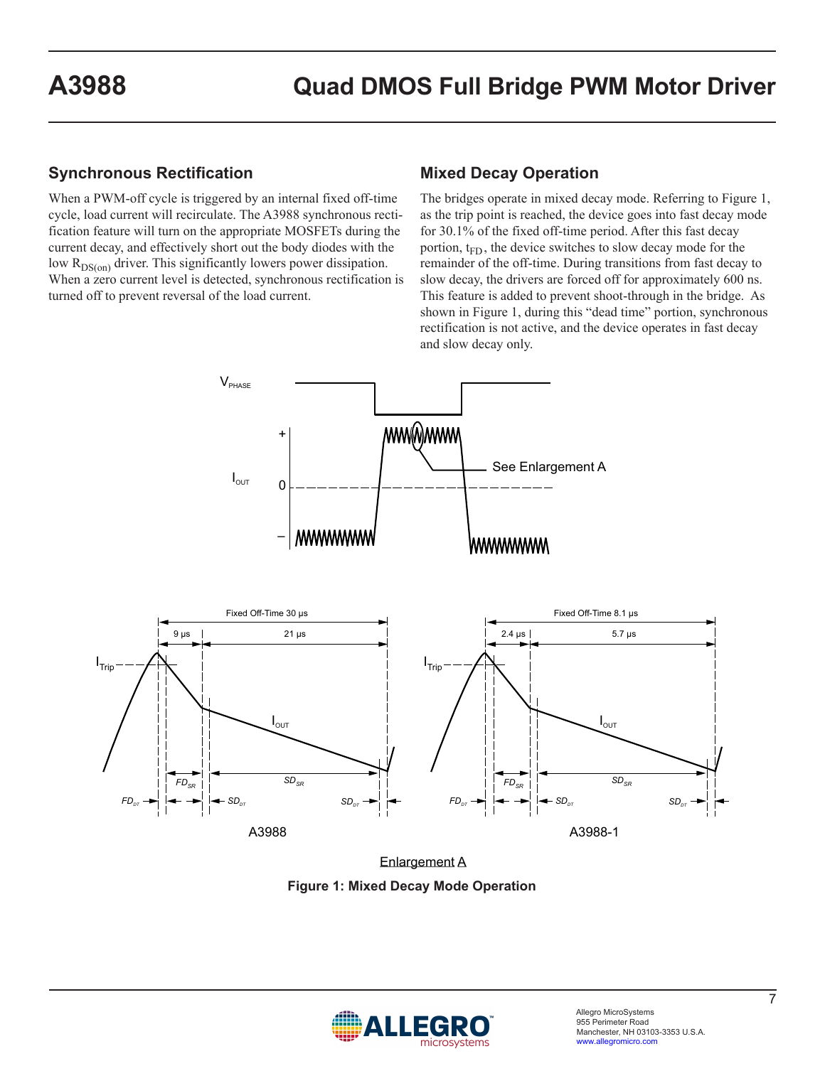## **Synchronous Rectification**

When a PWM-off cycle is triggered by an internal fixed off-time cycle, load current will recirculate. The A3988 synchronous rectification feature will turn on the appropriate MOSFETs during the current decay, and effectively short out the body diodes with the low  $R_{DS(on)}$  driver. This significantly lowers power dissipation. When a zero current level is detected, synchronous rectification is turned off to prevent reversal of the load current.

## **Mixed Decay Operation**

The bridges operate in mixed decay mode. Referring to Figure 1, as the trip point is reached, the device goes into fast decay mode for 30.1% of the fixed off-time period. After this fast decay portion,  $t_{FD}$ , the device switches to slow decay mode for the remainder of the off-time. During transitions from fast decay to slow decay, the drivers are forced off for approximately 600 ns. This feature is added to prevent shoot-through in the bridge. As shown in Figure 1, during this "dead time" portion, synchronous rectification is not active, and the device operates in fast decay and slow decay only.



Enlargement A **Figure 1: Mixed Decay Mode Operation**

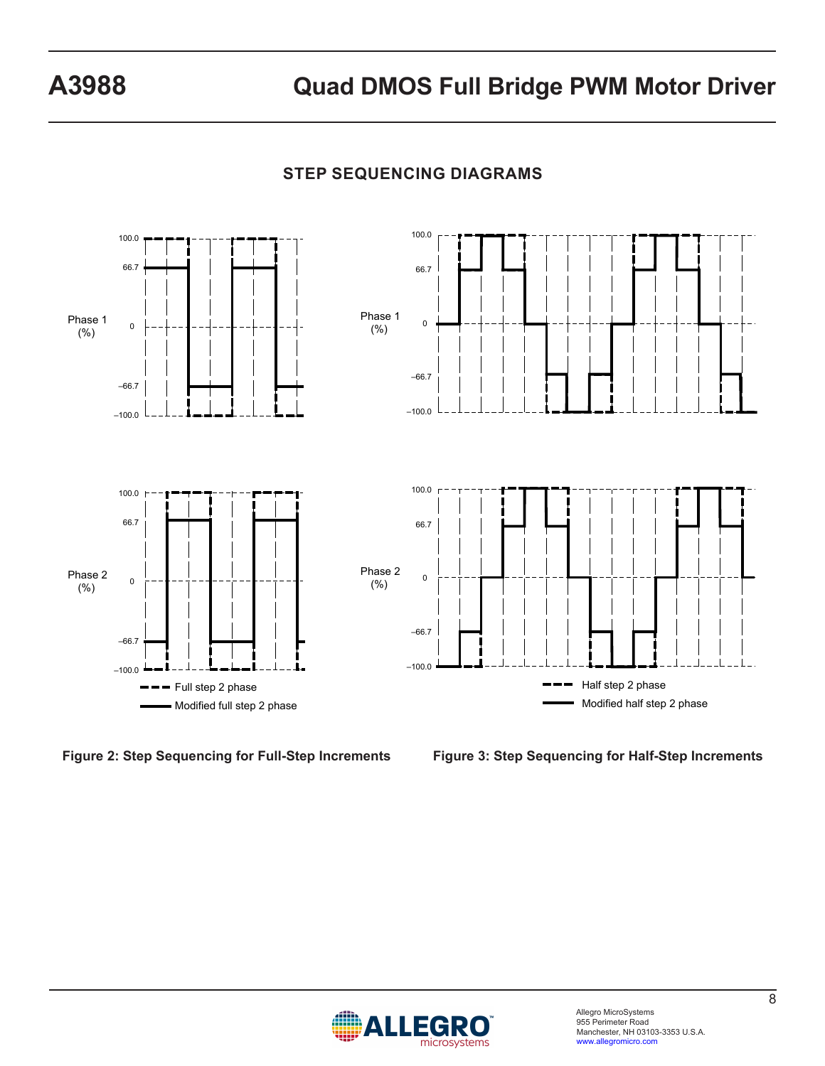



**Figure 2: Step Sequencing for Full-Step Increments Figure 3: Step Sequencing for Half-Step Increments**

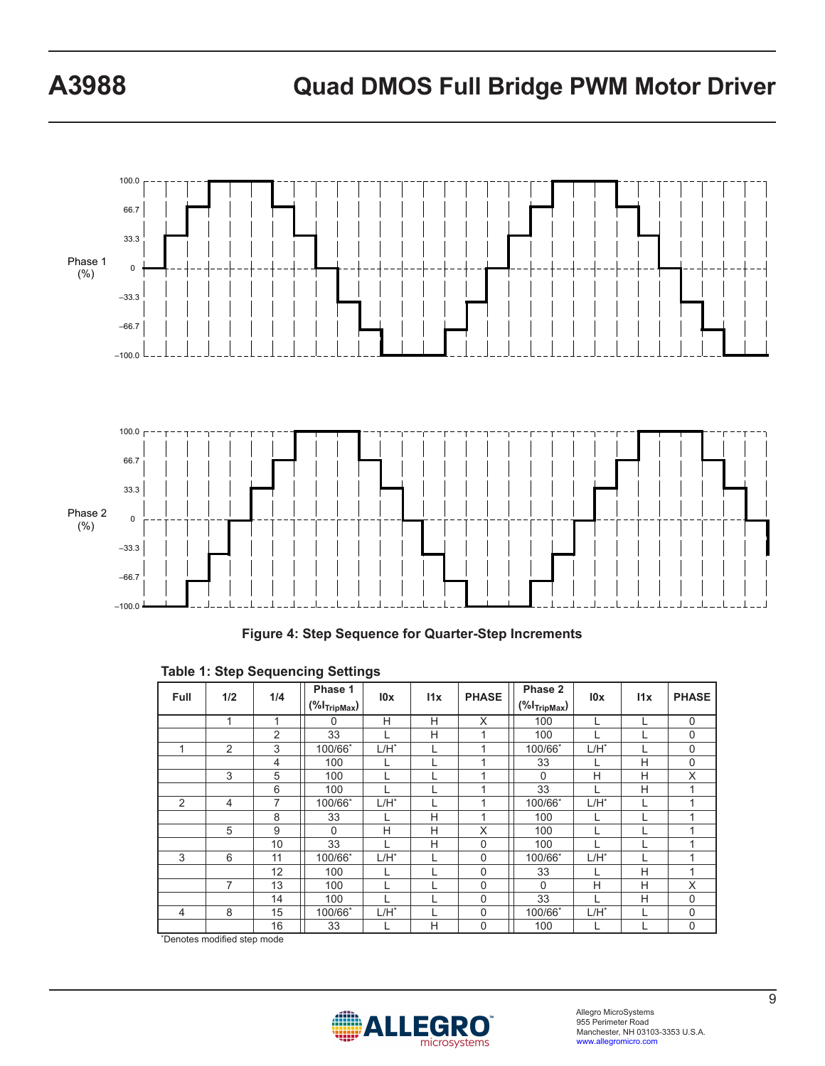

#### **Figure 4: Step Sequence for Quarter-Step Increments**

| <b>Full</b> | 1/2            | 1/4 | Phase 1                  | 10x<br>11x |   | <b>PHASE</b> | Phase 2                  | 10x     | 11x | <b>PHASE</b> |
|-------------|----------------|-----|--------------------------|------------|---|--------------|--------------------------|---------|-----|--------------|
|             |                |     | $(\%I_{\text{TripMax}})$ |            |   |              | $(\%I_{\text{TripMax}})$ |         |     |              |
|             | 1              |     | 0                        | H          | H | X            | 100                      |         |     | 0            |
|             |                | 2   | 33                       |            | н | 1            | 100                      |         |     | $\mathbf 0$  |
|             | $\overline{2}$ | 3   | 100/66*                  | $L/H^*$    |   | 1            | 100/66*                  | $L/H^*$ |     | $\mathbf 0$  |
|             |                | 4   | 100                      |            |   | 1            | 33                       |         | H   | $\mathbf 0$  |
|             | 3              | 5   | 100                      |            |   | 1            | $\Omega$                 | н       | H   | X            |
|             |                | 6   | 100                      |            |   | 1            | 33                       |         | Н   | 1            |
| 2           | $\overline{4}$ | 7   | 100/66*                  | $L/H^*$    |   | 1            | 100/66*                  | $L/H^*$ |     | 1            |
|             |                | 8   | 33                       |            | н | 1            | 100                      |         |     |              |
|             | 5              | 9   | $\Omega$                 | H          | H | X            | 100                      |         |     |              |
|             |                | 10  | 33                       |            | H | 0            | 100                      |         |     |              |
| 3           | 6              | 11  | 100/66*                  | $L/H^*$    |   | 0            | 100/66*                  | $L/H^*$ |     |              |
|             |                | 12  | 100                      |            |   | 0            | 33                       |         | Н   | 1            |
|             | 7              | 13  | 100                      |            |   | 0            | $\Omega$                 | н       | H   | X            |
|             |                | 14  | 100                      |            |   | 0            | 33                       |         | H   | $\mathbf 0$  |
| 4           | 8              | 15  | 100/66*                  | $L/H^*$    |   | 0            | 100/66*                  | $L/H^*$ |     | 0            |
|             |                | 16  | 33                       |            | н | $\mathbf 0$  | 100                      |         |     | $\mathbf 0$  |

#### **Table 1: Step Sequencing Settings**

\*Denotes modified step mode

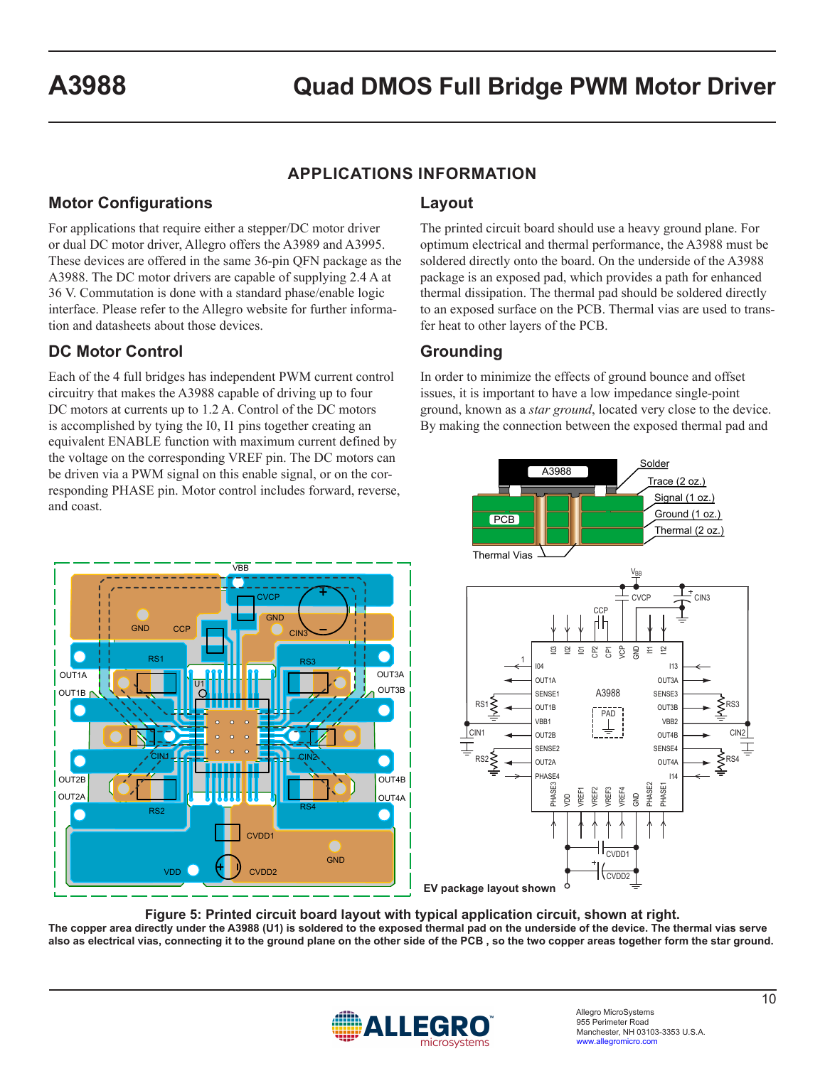## **APPLICATIONS INFORMATION**

# **Motor Configurations**

For applications that require either a stepper/DC motor driver or dual DC motor driver, Allegro offers the A3989 and A3995. These devices are offered in the same 36-pin QFN package as the A3988. The DC motor drivers are capable of supplying 2.4 A at 36 V. Commutation is done with a standard phase/enable logic interface. Please refer to the Allegro website for further information and datasheets about those devices.

## **DC Motor Control**

Each of the 4 full bridges has independent PWM current control circuitry that makes the A3988 capable of driving up to four DC motors at currents up to 1.2 A. Control of the DC motors is accomplished by tying the I0, I1 pins together creating an equivalent ENABLE function with maximum current defined by the voltage on the corresponding VREF pin. The DC motors can be driven via a PWM signal on this enable signal, or on the corresponding PHASE pin. Motor control includes forward, reverse, and coast.

## **Layout**

The printed circuit board should use a heavy ground plane. For optimum electrical and thermal performance, the A3988 must be soldered directly onto the board. On the underside of the A3988 package is an exposed pad, which provides a path for enhanced thermal dissipation. The thermal pad should be soldered directly to an exposed surface on the PCB. Thermal vias are used to transfer heat to other layers of the PCB.

## **Grounding**

In order to minimize the effects of ground bounce and offset issues, it is important to have a low impedance single-point ground, known as a *star ground*, located very close to the device. By making the connection between the exposed thermal pad and

A3988

Trace (2 oz.)

**Solder** 



**Figure 5: Printed circuit board layout with typical application circuit, shown at right. The copper area directly under the A3988 (U1) is soldered to the exposed thermal pad on the underside of the device. The thermal vias serve also as electrical vias, connecting it to the ground plane on the other side of the PCB , so the two copper areas together form the star ground.**

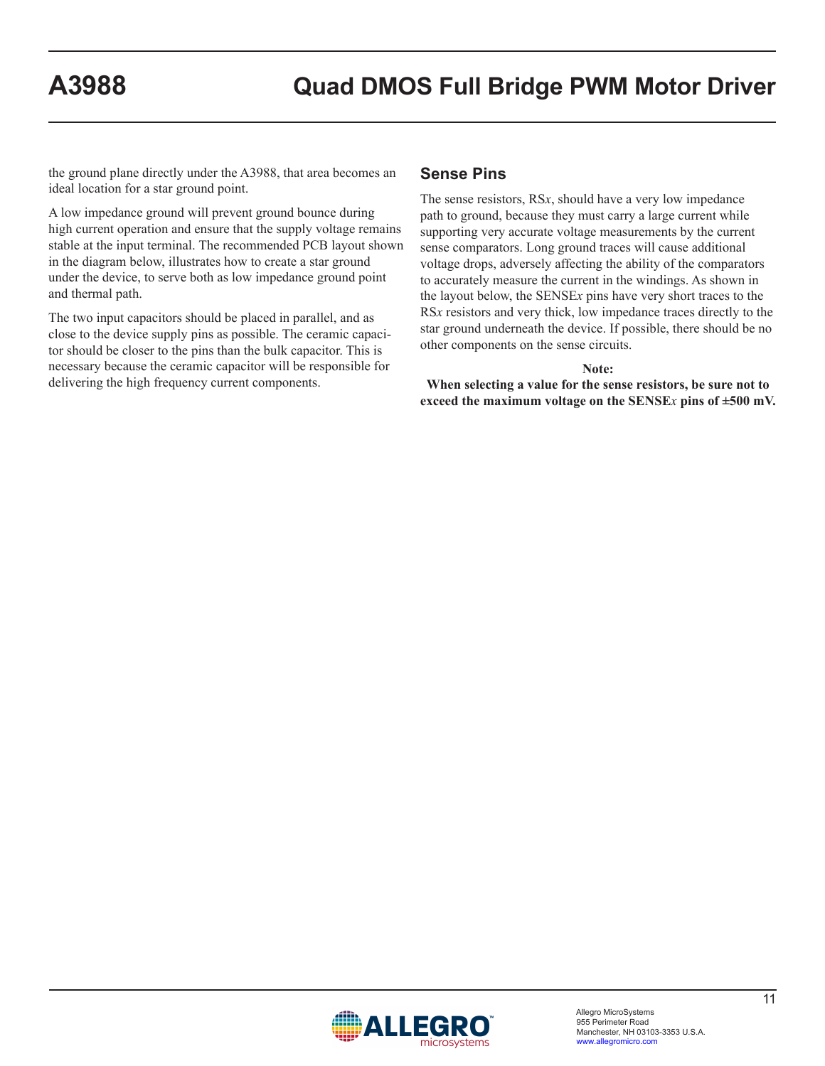the ground plane directly under the A3988, that area becomes an ideal location for a star ground point.

A low impedance ground will prevent ground bounce during high current operation and ensure that the supply voltage remains stable at the input terminal. The recommended PCB layout shown in the diagram below, illustrates how to create a star ground under the device, to serve both as low impedance ground point and thermal path.

The two input capacitors should be placed in parallel, and as close to the device supply pins as possible. The ceramic capacitor should be closer to the pins than the bulk capacitor. This is necessary because the ceramic capacitor will be responsible for delivering the high frequency current components.

#### **Sense Pins**

The sense resistors, RS*x*, should have a very low impedance path to ground, because they must carry a large current while supporting very accurate voltage measurements by the current sense comparators. Long ground traces will cause additional voltage drops, adversely affecting the ability of the comparators to accurately measure the current in the windings. As shown in the layout below, the SENSE*x* pins have very short traces to the RS*x* resistors and very thick, low impedance traces directly to the star ground underneath the device. If possible, there should be no other components on the sense circuits.

#### **Note:**

**When selecting a value for the sense resistors, be sure not to exceed the maximum voltage on the SENSE***x* **pins of ±500 mV.** 

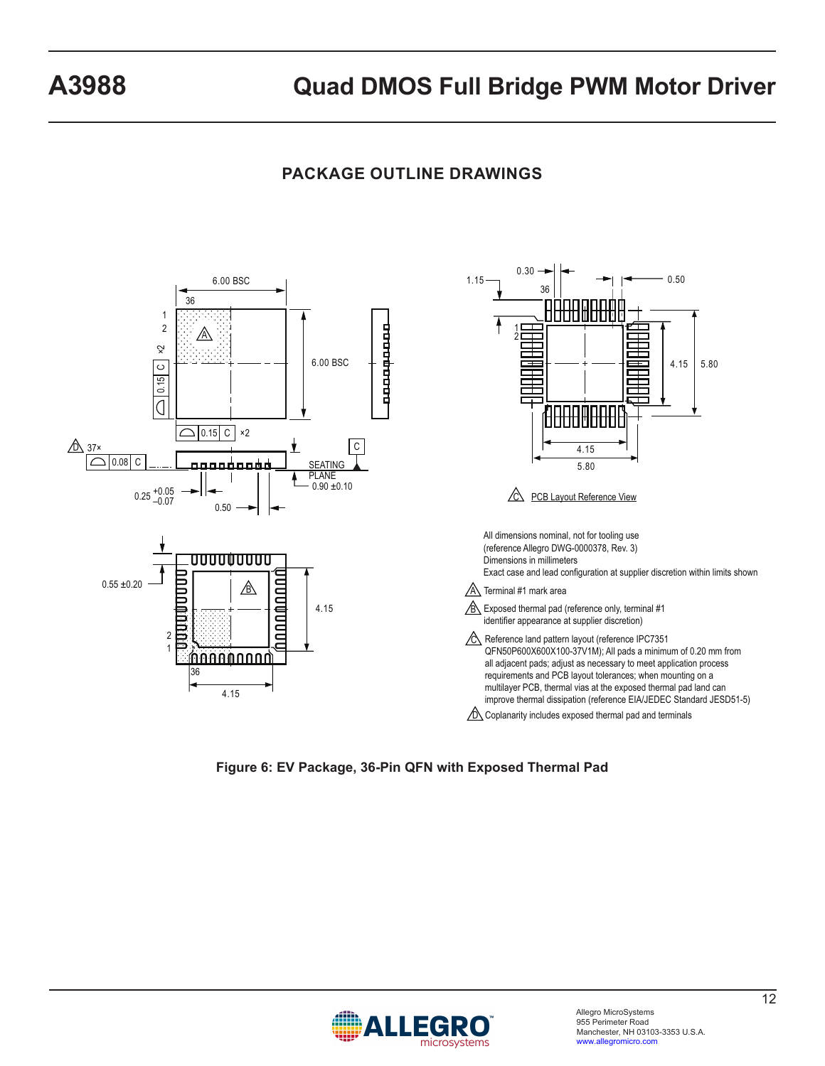## **PACKAGE OUTLINE DRAWINGS**



**Figure 6: EV Package, 36-Pin QFN with Exposed Thermal Pad**

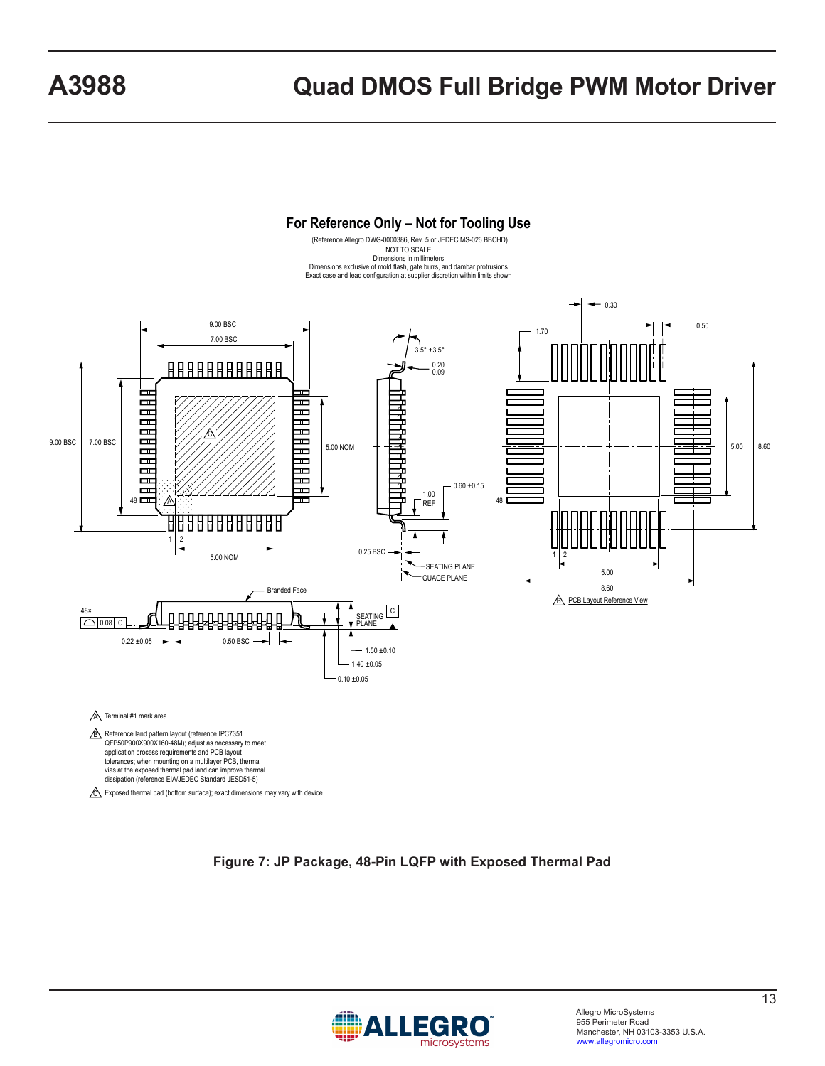

#### **Figure 7: JP Package, 48-Pin LQFP with Exposed Thermal Pad**